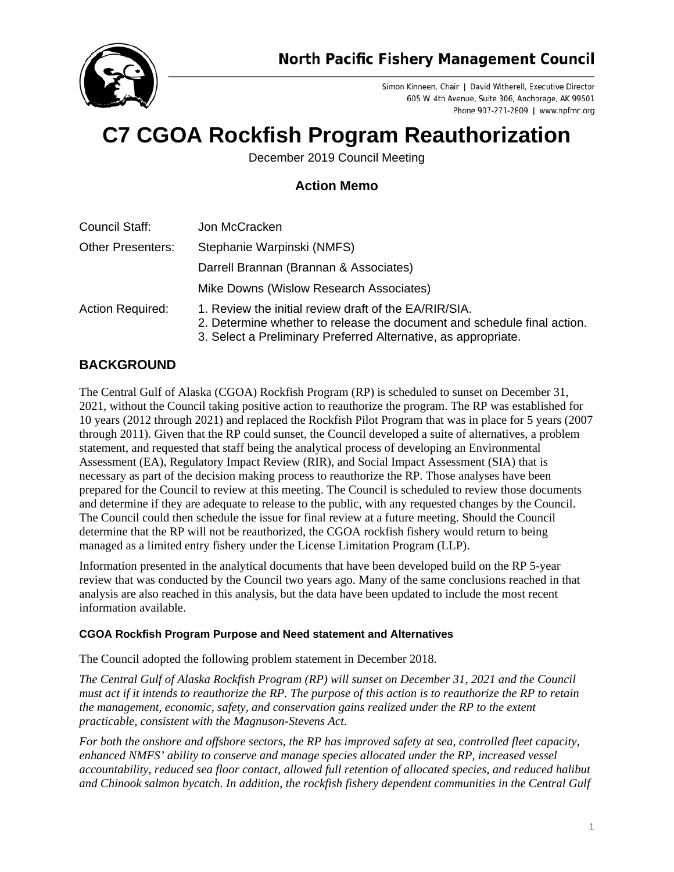

Simon Kinneen, Chair | David Witherell, Executive Director 605 W. 4th Avenue, Suite 306, Anchorage, AK 99501 Phone 907-271-2809 | www.npfmc.org

## **C7 CGOA Rockfish Program Reauthorization**

December 2019 Council Meeting

## **Action Memo**

| Council Staff:           | Jon McCracken                                                                                                                                                                                      |
|--------------------------|----------------------------------------------------------------------------------------------------------------------------------------------------------------------------------------------------|
| <b>Other Presenters:</b> | Stephanie Warpinski (NMFS)                                                                                                                                                                         |
|                          | Darrell Brannan (Brannan & Associates)                                                                                                                                                             |
|                          | Mike Downs (Wislow Research Associates)                                                                                                                                                            |
| <b>Action Required:</b>  | 1. Review the initial review draft of the EA/RIR/SIA.<br>2. Determine whether to release the document and schedule final action.<br>3. Select a Preliminary Preferred Alternative, as appropriate. |

## **BACKGROUND**

The Central Gulf of Alaska (CGOA) Rockfish Program (RP) is scheduled to sunset on December 31, 2021, without the Council taking positive action to reauthorize the program. The RP was established for 10 years (2012 through 2021) and replaced the Rockfish Pilot Program that was in place for 5 years (2007 through 2011). Given that the RP could sunset, the Council developed a suite of alternatives, a problem statement, and requested that staff being the analytical process of developing an Environmental Assessment (EA), Regulatory Impact Review (RIR), and Social Impact Assessment (SIA) that is necessary as part of the decision making process to reauthorize the RP. Those analyses have been prepared for the Council to review at this meeting. The Council is scheduled to review those documents and determine if they are adequate to release to the public, with any requested changes by the Council. The Council could then schedule the issue for final review at a future meeting. Should the Council determine that the RP will not be reauthorized, the CGOA rockfish fishery would return to being managed as a limited entry fishery under the License Limitation Program (LLP).

Information presented in the analytical documents that have been developed build on the RP 5-year review that was conducted by the Council two years ago. Many of the same conclusions reached in that analysis are also reached in this analysis, but the data have been updated to include the most recent information available.

## **CGOA Rockfish Program Purpose and Need statement and Alternatives**

The Council adopted the following problem statement in December 2018.

*The Central Gulf of Alaska Rockfish Program (RP) will sunset on December 31, 2021 and the Council must act if it intends to reauthorize the RP. The purpose of this action is to reauthorize the RP to retain the management, economic, safety, and conservation gains realized under the RP to the extent practicable, consistent with the Magnuson-Stevens Act.*

*For both the onshore and offshore sectors, the RP has improved safety at sea, controlled fleet capacity, enhanced NMFS' ability to conserve and manage species allocated under the RP, increased vessel accountability, reduced sea floor contact, allowed full retention of allocated species, and reduced halibut and Chinook salmon bycatch. In addition, the rockfish fishery dependent communities in the Central Gulf*